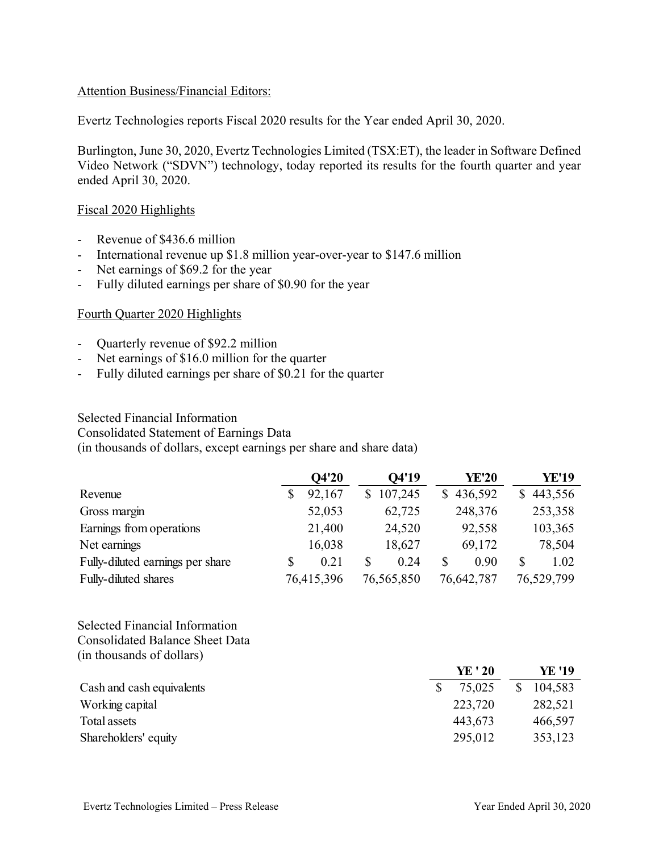### Attention Business/Financial Editors:

Evertz Technologies reports Fiscal 2020 results for the Year ended April 30, 2020.

Burlington, June 30, 2020, Evertz Technologies Limited (TSX:ET), the leader in Software Defined Video Network ("SDVN") technology, today reported its results for the fourth quarter and year ended April 30, 2020.

#### Fiscal 2020 Highlights

- Revenue of \$436.6 million
- International revenue up \$1.8 million year-over-year to \$147.6 million
- Net earnings of \$69.2 for the year
- Fully diluted earnings per share of \$0.90 for the year

#### Fourth Quarter 2020 Highlights

- Quarterly revenue of \$92.2 million
- Net earnings of \$16.0 million for the quarter
- Fully diluted earnings per share of \$0.21 for the quarter

### Selected Financial Information Consolidated Statement of Earnings Data (in thousands of dollars, except earnings per share and share data)

|                                  | Q4'20      |    | O4'19      |    | <b>YE'20</b> | <b>YE'19</b> |
|----------------------------------|------------|----|------------|----|--------------|--------------|
| Revenue                          | 92,167     | S. | 107,245    | S. | 436,592      | 443,556      |
| Gross margin                     | 52,053     |    | 62,725     |    | 248,376      | 253,358      |
| Earnings from operations         | 21,400     |    | 24,520     |    | 92,558       | 103,365      |
| Net earnings                     | 16,038     |    | 18,627     |    | 69,172       | 78,504       |
| Fully-diluted earnings per share | 0.21       |    | 0.24       | \$ | 0.90         | \$<br>1.02   |
| Fully-diluted shares             | 76,415,396 |    | 76,565,850 |    | 76,642,787   | 76,529,799   |

Selected Financial Information Consolidated Balance Sheet Data (in thousands of dollars)

|                           | YE ' 20 | YE '19  |
|---------------------------|---------|---------|
| Cash and cash equivalents | 75,025  | 104,583 |
| Working capital           | 223,720 | 282,521 |
| Total assets              | 443,673 | 466,597 |
| Shareholders' equity      | 295,012 | 353,123 |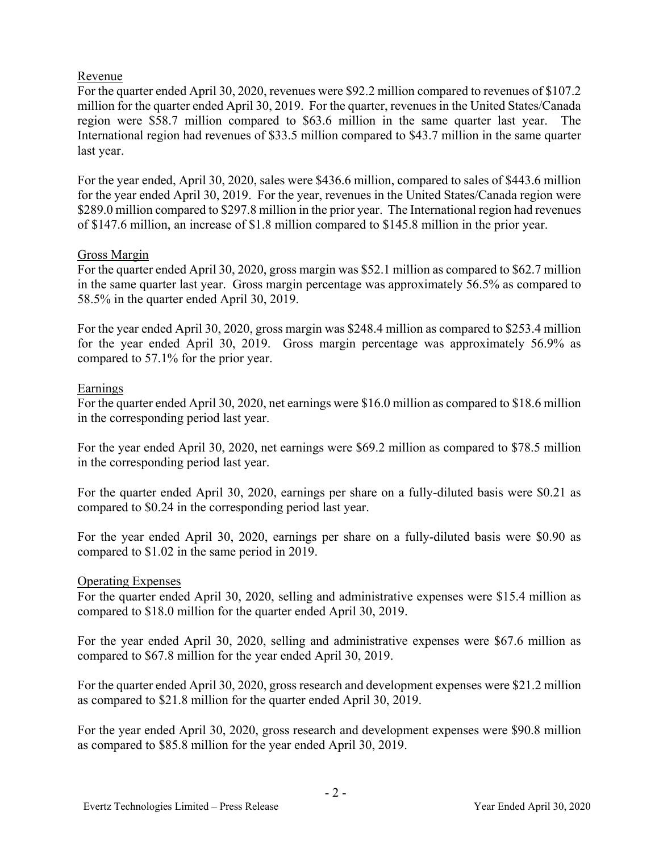## Revenue

For the quarter ended April 30, 2020, revenues were \$92.2 million compared to revenues of \$107.2 million for the quarter ended April 30, 2019. For the quarter, revenues in the United States/Canada region were \$58.7 million compared to \$63.6 million in the same quarter last year. The International region had revenues of \$33.5 million compared to \$43.7 million in the same quarter last year.

For the year ended, April 30, 2020, sales were \$436.6 million, compared to sales of \$443.6 million for the year ended April 30, 2019. For the year, revenues in the United States/Canada region were \$289.0 million compared to \$297.8 million in the prior year. The International region had revenues of \$147.6 million, an increase of \$1.8 million compared to \$145.8 million in the prior year.

## Gross Margin

For the quarter ended April 30, 2020, gross margin was \$52.1 million as compared to \$62.7 million in the same quarter last year. Gross margin percentage was approximately 56.5% as compared to 58.5% in the quarter ended April 30, 2019.

For the year ended April 30, 2020, gross margin was \$248.4 million as compared to \$253.4 million for the year ended April 30, 2019. Gross margin percentage was approximately 56.9% as compared to 57.1% for the prior year.

# Earnings

For the quarter ended April 30, 2020, net earnings were \$16.0 million as compared to \$18.6 million in the corresponding period last year.

For the year ended April 30, 2020, net earnings were \$69.2 million as compared to \$78.5 million in the corresponding period last year.

For the quarter ended April 30, 2020, earnings per share on a fully-diluted basis were \$0.21 as compared to \$0.24 in the corresponding period last year.

For the year ended April 30, 2020, earnings per share on a fully-diluted basis were \$0.90 as compared to \$1.02 in the same period in 2019.

## Operating Expenses

For the quarter ended April 30, 2020, selling and administrative expenses were \$15.4 million as compared to \$18.0 million for the quarter ended April 30, 2019.

For the year ended April 30, 2020, selling and administrative expenses were \$67.6 million as compared to \$67.8 million for the year ended April 30, 2019.

For the quarter ended April 30, 2020, gross research and development expenses were \$21.2 million as compared to \$21.8 million for the quarter ended April 30, 2019.

For the year ended April 30, 2020, gross research and development expenses were \$90.8 million as compared to \$85.8 million for the year ended April 30, 2019.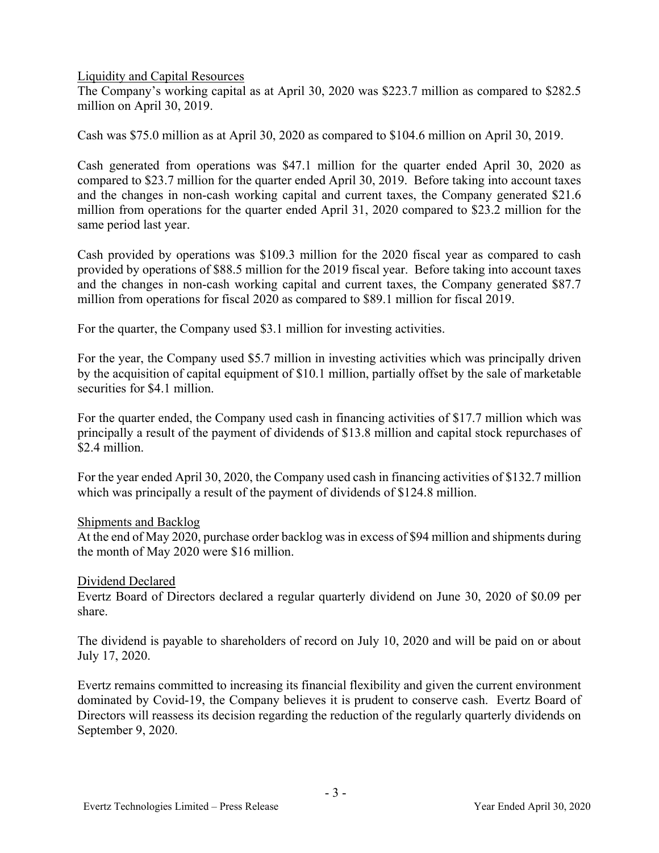Liquidity and Capital Resources

The Company's working capital as at April 30, 2020 was \$223.7 million as compared to \$282.5 million on April 30, 2019.

Cash was \$75.0 million as at April 30, 2020 as compared to \$104.6 million on April 30, 2019.

Cash generated from operations was \$47.1 million for the quarter ended April 30, 2020 as compared to \$23.7 million for the quarter ended April 30, 2019. Before taking into account taxes and the changes in non-cash working capital and current taxes, the Company generated \$21.6 million from operations for the quarter ended April 31, 2020 compared to \$23.2 million for the same period last year.

Cash provided by operations was \$109.3 million for the 2020 fiscal year as compared to cash provided by operations of \$88.5 million for the 2019 fiscal year. Before taking into account taxes and the changes in non-cash working capital and current taxes, the Company generated \$87.7 million from operations for fiscal 2020 as compared to \$89.1 million for fiscal 2019.

For the quarter, the Company used \$3.1 million for investing activities.

For the year, the Company used \$5.7 million in investing activities which was principally driven by the acquisition of capital equipment of \$10.1 million, partially offset by the sale of marketable securities for \$4.1 million.

For the quarter ended, the Company used cash in financing activities of \$17.7 million which was principally a result of the payment of dividends of \$13.8 million and capital stock repurchases of \$2.4 million.

For the year ended April 30, 2020, the Company used cash in financing activities of \$132.7 million which was principally a result of the payment of dividends of \$124.8 million.

### Shipments and Backlog

At the end of May 2020, purchase order backlog was in excess of \$94 million and shipments during the month of May 2020 were \$16 million.

### Dividend Declared

Evertz Board of Directors declared a regular quarterly dividend on June 30, 2020 of \$0.09 per share.

The dividend is payable to shareholders of record on July 10, 2020 and will be paid on or about July 17, 2020.

Evertz remains committed to increasing its financial flexibility and given the current environment dominated by Covid-19, the Company believes it is prudent to conserve cash. Evertz Board of Directors will reassess its decision regarding the reduction of the regularly quarterly dividends on September 9, 2020.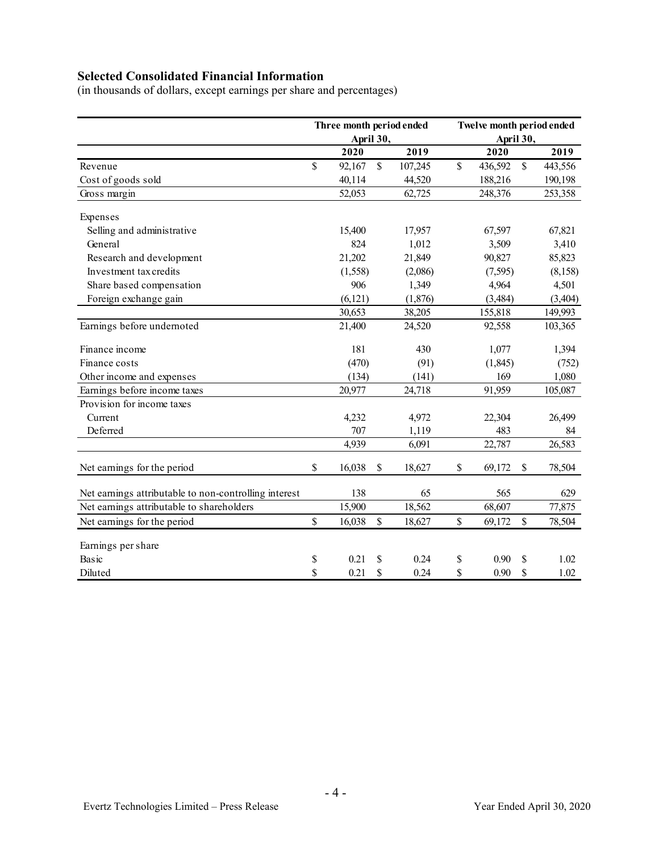# **Selected Consolidated Financial Information**

(in thousands of dollars, except earnings per share and percentages)

|                                                       | Three month period ended<br>April 30, |          |               |         | Twelve month period ended<br>April 30, |          |              |          |
|-------------------------------------------------------|---------------------------------------|----------|---------------|---------|----------------------------------------|----------|--------------|----------|
|                                                       |                                       | 2020     |               | 2019    |                                        | 2020     |              | 2019     |
| Revenue                                               | \$                                    | 92,167   | $\mathcal{S}$ | 107,245 | \$                                     | 436,592  | $\mathbb{S}$ | 443,556  |
| Cost of goods sold                                    |                                       | 40,114   |               | 44,520  |                                        | 188,216  |              | 190,198  |
| Gross margin                                          |                                       | 52,053   |               | 62,725  |                                        | 248,376  |              | 253,358  |
| Expenses                                              |                                       |          |               |         |                                        |          |              |          |
| Selling and administrative                            |                                       | 15,400   |               | 17,957  |                                        | 67,597   |              | 67,821   |
| General                                               |                                       |          | 824<br>1,012  |         | 3,509                                  |          |              | 3,410    |
| Research and development                              |                                       | 21,202   |               | 21,849  |                                        | 90,827   |              | 85,823   |
| Investment tax credits                                |                                       | (1,558)  |               | (2,086) |                                        | (7,595)  |              | (8, 158) |
| Share based compensation                              |                                       | 906      |               | 1,349   |                                        | 4,964    |              | 4,501    |
| Foreign exchange gain                                 |                                       | (6, 121) |               | (1,876) |                                        | (3,484)  |              | (3, 404) |
|                                                       |                                       | 30,653   |               | 38,205  |                                        | 155,818  |              | 149,993  |
| Earnings before undernoted                            |                                       | 21,400   |               | 24,520  |                                        | 92,558   |              | 103,365  |
| Finance income                                        |                                       | 181      |               | 430     |                                        | 1,077    |              | 1,394    |
| Finance costs                                         |                                       | (470)    |               | (91)    |                                        | (1, 845) |              | (752)    |
| Other income and expenses                             |                                       | (134)    |               | (141)   |                                        | 169      |              | 1,080    |
| Earnings before income taxes                          |                                       | 20,977   |               | 24,718  |                                        | 91,959   |              | 105,087  |
| Provision for income taxes                            |                                       |          |               |         |                                        |          |              |          |
| Current                                               |                                       | 4,232    |               | 4,972   |                                        | 22,304   |              | 26,499   |
| Deferred                                              |                                       | 707      |               | 1,119   |                                        | 483      |              | 84       |
|                                                       |                                       | 4,939    |               | 6,091   |                                        | 22,787   |              | 26,583   |
| Net earnings for the period                           | \$                                    | 16,038   | \$            | 18,627  | \$                                     | 69,172   | \$           | 78,504   |
| Net earnings attributable to non-controlling interest |                                       | 138      |               | 65      |                                        | 565      |              | 629      |
| Net earnings attributable to shareholders             |                                       | 15,900   |               | 18,562  |                                        | 68,607   |              | 77,875   |
| Net earnings for the period                           | $\mathbb{S}$                          | 16,038   | $\mathbb{S}$  | 18,627  | \$                                     | 69,172   | $\mathbb{S}$ | 78,504   |
| Earnings per share                                    |                                       |          |               |         |                                        |          |              |          |
| Basic                                                 | \$                                    | 0.21     | S             | 0.24    | \$                                     | 0.90     | \$           | 1.02     |
| Diluted                                               | \$                                    | 0.21     | \$            | 0.24    | \$                                     | 0.90     | \$           | 1.02     |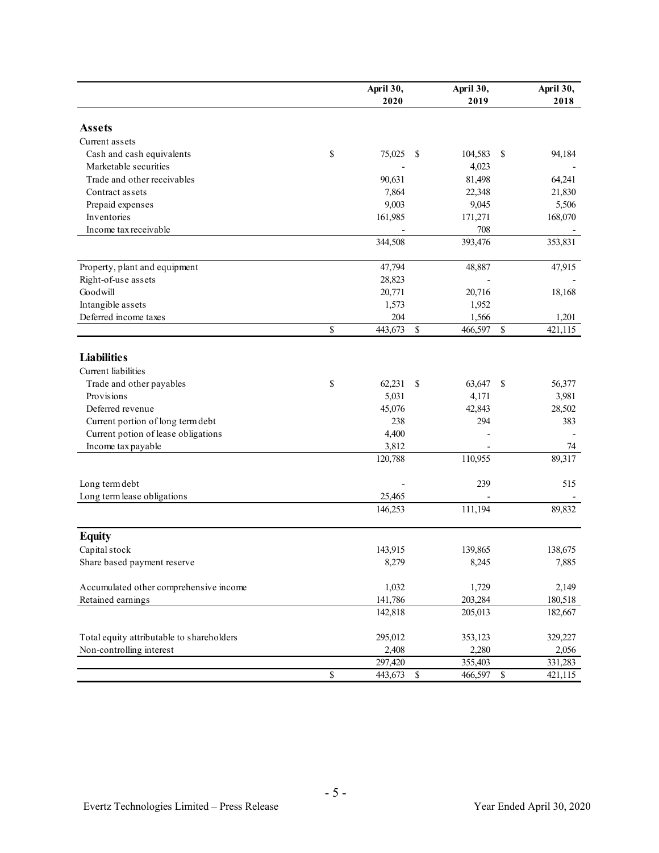|                                           |              | April 30,<br>2020 |               | April 30,<br>2019 |      | April 30,<br>2018 |
|-------------------------------------------|--------------|-------------------|---------------|-------------------|------|-------------------|
| <b>Assets</b>                             |              |                   |               |                   |      |                   |
| Current assets                            |              |                   |               |                   |      |                   |
| Cash and cash equivalents                 | \$           | 75,025            | <sup>\$</sup> | 104,583           | - \$ | 94,184            |
| Marketable securities                     |              |                   |               | 4,023             |      |                   |
| Trade and other receivables               |              | 90,631            |               | 81,498            |      | 64,241            |
| Contract assets                           |              | 7,864             |               | 22,348            |      | 21,830            |
| Prepaid expenses                          |              | 9,003             |               | 9,045             |      | 5,506             |
| Inventories                               |              | 161,985           |               | 171,271           |      | 168,070           |
| Income tax receivable                     |              |                   |               | 708               |      |                   |
|                                           |              | 344,508           |               | 393,476           |      | 353,831           |
| Property, plant and equipment             |              | 47,794            |               | 48,887            |      | 47,915            |
| Right-of-use assets                       |              | 28,823            |               |                   |      |                   |
| Goodwill                                  |              | 20,771            |               | 20,716            |      | 18,168            |
| Intangible assets                         |              | 1,573             |               | 1,952             |      |                   |
| Deferred income taxes                     |              | 204               |               | 1,566             |      | 1,201             |
|                                           | \$           | 443,673           | $\mathbf S$   | 466,597           | \$   | 421,115           |
| <b>Liabilities</b>                        |              |                   |               |                   |      |                   |
| Current liabilities                       |              |                   |               |                   |      |                   |
| Trade and other payables                  | \$           | 62,231            | S             | 63,647 \$         |      | 56,377            |
| Provisions                                |              | 5,031             |               | 4,171             |      | 3,981             |
| Deferred revenue                          |              | 45,076            |               | 42,843            |      | 28,502            |
| Current portion of long term debt         |              | 238               |               | 294               |      | 383               |
| Current potion of lease obligations       |              | 4,400             |               |                   |      |                   |
| Income tax payable                        |              | 3,812             |               |                   |      | 74                |
|                                           |              | 120,788           |               | 110,955           |      | 89,317            |
| Long term debt                            |              |                   |               | 239               |      | 515               |
| Long term lease obligations               |              | 25,465            |               |                   |      |                   |
|                                           |              | 146,253           |               | 111,194           |      | 89,832            |
| <b>Equity</b>                             |              |                   |               |                   |      |                   |
| Capital stock                             |              | 143,915           |               | 139,865           |      | 138,675           |
| Share based payment reserve               |              | 8,279             |               | 8,245             |      | 7,885             |
| Accumulated other comprehensive income    |              | 1,032             |               | 1,729             |      | 2,149             |
| Retained earnings                         |              | 141,786           |               | 203,284           |      | 180,518           |
|                                           |              | 142,818           |               | 205,013           |      | 182,667           |
| Total equity attributable to shareholders |              | 295,012           |               | 353,123           |      | 329,227           |
| Non-controlling interest                  |              | 2,408             |               | 2,280             |      | 2,056             |
|                                           |              | 297,420           |               | 355,403           |      | 331,283           |
|                                           | $\mathbb{S}$ | 443,673           | $\mathbb{S}$  | 466,597 \$        |      | 421,115           |